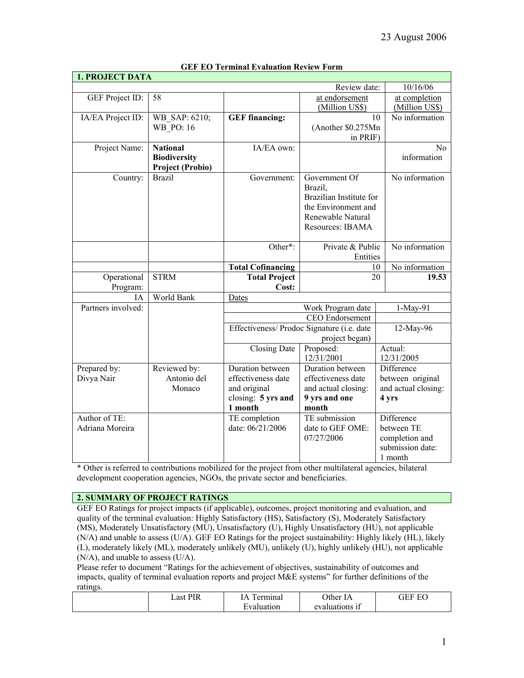| <b>1. PROJECT DATA</b> |                     |                          |                                            |                      |
|------------------------|---------------------|--------------------------|--------------------------------------------|----------------------|
|                        |                     |                          | Review date:                               | 10/16/06             |
| GEF Project ID:        | 58                  |                          | at endorsement                             | at completion        |
|                        |                     |                          | (Million US\$)                             | (Million US\$)       |
| IA/EA Project ID:      | WB SAP: 6210;       | <b>GEF</b> financing:    |                                            | No information<br>10 |
|                        | <b>WB PO: 16</b>    |                          | (Another \$0.275Mn                         |                      |
|                        |                     |                          | in PRIF)                                   |                      |
| Project Name:          | <b>National</b>     | IA/EA own:               |                                            | No                   |
|                        | <b>Biodiversity</b> |                          |                                            | information          |
|                        | Project (Probio)    |                          |                                            |                      |
| Country:               | <b>Brazil</b>       | Government:              | Government Of                              | No information       |
|                        |                     |                          | Brazil,                                    |                      |
|                        |                     |                          | Brazilian Institute for                    |                      |
|                        |                     |                          | the Environment and                        |                      |
|                        |                     |                          | Renewable Natural                          |                      |
|                        |                     |                          | Resources: IBAMA                           |                      |
|                        |                     | Other*:                  | Private & Public                           | No information       |
|                        |                     |                          | Entities                                   |                      |
|                        |                     | <b>Total Cofinancing</b> |                                            | No information<br>10 |
| Operational            | <b>STRM</b>         | <b>Total Project</b>     |                                            | 20<br>19.53          |
| Program:               |                     | Cost:                    |                                            |                      |
| IΑ                     | World Bank          | Dates                    |                                            |                      |
| Partners involved:     |                     |                          | Work Program date                          | 1-May-91             |
|                        |                     |                          | CEO Endorsement                            |                      |
|                        |                     |                          | Effectiveness/ Prodoc Signature (i.e. date | 12-May-96            |
|                        |                     |                          | project began)                             |                      |
|                        |                     | Closing Date             | Proposed:                                  | Actual:              |
|                        |                     |                          | 12/31/2001                                 | 12/31/2005           |
| Prepared by:           | Reviewed by:        | Duration between         | Duration between                           | Difference           |
| Divya Nair             | Antonio del         | effectiveness date       | effectiveness date                         | between original     |
|                        | Monaco              | and original             | and actual closing:                        | and actual closing:  |
|                        |                     | closing: 5 yrs and       | 9 yrs and one                              | 4 yrs                |
|                        |                     | 1 month                  | month                                      |                      |
| Author of TE:          |                     | TE completion            | TE submission                              | Difference           |
| Adriana Moreira        |                     | date: 06/21/2006         | date to GEF OME:                           | between TE           |
|                        |                     |                          | 07/27/2006                                 | completion and       |
|                        |                     |                          |                                            | submission date:     |
|                        |                     |                          |                                            | 1 month              |

### **GEF EO Terminal Evaluation Review Form**

\* Other is referred to contributions mobilized for the project from other multilateral agencies, bilateral development cooperation agencies, NGOs, the private sector and beneficiaries.

#### **2. SUMMARY OF PROJECT RATINGS**

GEF EO Ratings for project impacts (if applicable), outcomes, project monitoring and evaluation, and quality of the terminal evaluation: Highly Satisfactory (HS), Satisfactory (S), Moderately Satisfactory (MS), Moderately Unsatisfactory (MU), Unsatisfactory (U), Highly Unsatisfactory (HU), not applicable (N/A) and unable to assess (U/A). GEF EO Ratings for the project sustainability: Highly likely (HL), likely (L), moderately likely (ML), moderately unlikely (MU), unlikely (U), highly unlikely (HU), not applicable (N/A), and unable to assess (U/A).

Please refer to document "Ratings for the achievement of objectives, sustainability of outcomes and impacts, quality of terminal evaluation reports and project M&E systems" for further definitions of the ratings.

| T<br>951 | Δ<br>ermına | )ther<br>P            | $\Gamma$<br>. н<br>∽⊷ |
|----------|-------------|-----------------------|-----------------------|
|          | -           | . .<br>AT<br>$-2 - 1$ |                       |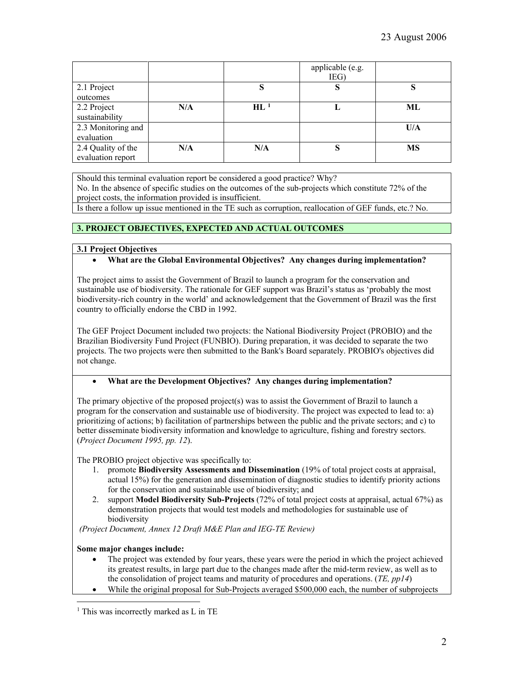|                                         |     |        | applicable (e.g.<br>IEG) |           |
|-----------------------------------------|-----|--------|--------------------------|-----------|
| 2.1 Project                             |     | S      | S                        |           |
| outcomes                                |     |        |                          |           |
| 2.2 Project<br>sustainability           | N/A | $HL^1$ |                          | ML        |
| 2.3 Monitoring and<br>evaluation        |     |        |                          | U/A       |
| 2.4 Quality of the<br>evaluation report | N/A | N/A    | N,                       | <b>MS</b> |

Should this terminal evaluation report be considered a good practice? Why?

No. In the absence of specific studies on the outcomes of the sub-projects which constitute 72% of the project costs, the information provided is insufficient.

Is there a follow up issue mentioned in the TE such as corruption, reallocation of GEF funds, etc.? No.

# **3. PROJECT OBJECTIVES, EXPECTED AND ACTUAL OUTCOMES**

### **3.1 Project Objectives**

### • **What are the Global Environmental Objectives? Any changes during implementation?**

The project aims to assist the Government of Brazil to launch a program for the conservation and sustainable use of biodiversity. The rationale for GEF support was Brazil's status as 'probably the most biodiversity-rich country in the world' and acknowledgement that the Government of Brazil was the first country to officially endorse the CBD in 1992.

The GEF Project Document included two projects: the National Biodiversity Project (PROBIO) and the Brazilian Biodiversity Fund Project (FUNBIO). During preparation, it was decided to separate the two projects. The two projects were then submitted to the Bank's Board separately. PROBIO's objectives did not change.

## • **What are the Development Objectives? Any changes during implementation?**

The primary objective of the proposed project(s) was to assist the Government of Brazil to launch a program for the conservation and sustainable use of biodiversity. The project was expected to lead to: a) prioritizing of actions; b) facilitation of partnerships between the public and the private sectors; and c) to better disseminate biodiversity information and knowledge to agriculture, fishing and forestry sectors. (*Project Document 1995, pp. 12*).

The PROBIO project objective was specifically to:

- 1. promote **Biodiversity Assessments and Dissemination** (19% of total project costs at appraisal, actual 15%) for the generation and dissemination of diagnostic studies to identify priority actions for the conservation and sustainable use of biodiversity; and
- 2. support **Model Biodiversity Sub-Projects** (72% of total project costs at appraisal, actual 67%) as demonstration projects that would test models and methodologies for sustainable use of biodiversity

*(Project Document, Annex 12 Draft M&E Plan and IEG-TE Review)* 

## **Some major changes include:**

- The project was extended by four years, these years were the period in which the project achieved its greatest results, in large part due to the changes made after the mid-term review, as well as to the consolidation of project teams and maturity of procedures and operations. (*TE, pp14*)
- While the original proposal for Sub-Projects averaged \$500,000 each, the number of subprojects

<span id="page-1-0"></span> $\overline{a}$ <sup>1</sup> This was incorrectly marked as L in TE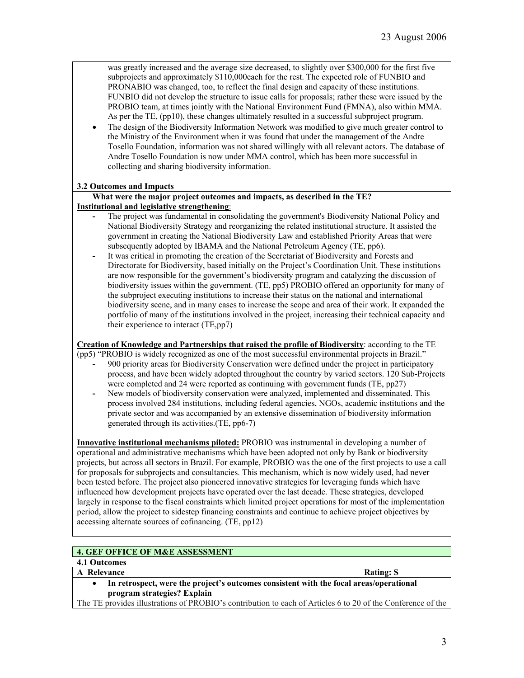was greatly increased and the average size decreased, to slightly over \$300,000 for the first five subprojects and approximately \$110,000each for the rest. The expected role of FUNBIO and PRONABIO was changed, too, to reflect the final design and capacity of these institutions. FUNBIO did not develop the structure to issue calls for proposals; rather these were issued by the PROBIO team, at times jointly with the National Environment Fund (FMNA), also within MMA. As per the TE, (pp10), these changes ultimately resulted in a successful subproject program.

• The design of the Biodiversity Information Network was modified to give much greater control to the Ministry of the Environment when it was found that under the management of the Andre Tosello Foundation, information was not shared willingly with all relevant actors. The database of Andre Tosello Foundation is now under MMA control, which has been more successful in collecting and sharing biodiversity information.

## **3.2 Outcomes and Impacts**

#### **What were the major project outcomes and impacts, as described in the TE? Institutional and legislative strengthening**:

- **-** The project was fundamental in consolidating the government's Biodiversity National Policy and National Biodiversity Strategy and reorganizing the related institutional structure. It assisted the government in creating the National Biodiversity Law and established Priority Areas that were subsequently adopted by IBAMA and the National Petroleum Agency (TE, pp6).
- **-** It was critical in promoting the creation of the Secretariat of Biodiversity and Forests and Directorate for Biodiversity, based initially on the Project's Coordination Unit. These institutions are now responsible for the government's biodiversity program and catalyzing the discussion of biodiversity issues within the government. (TE, pp5) PROBIO offered an opportunity for many of the subproject executing institutions to increase their status on the national and international biodiversity scene, and in many cases to increase the scope and area of their work. It expanded the portfolio of many of the institutions involved in the project, increasing their technical capacity and their experience to interact (TE,pp7)

**Creation of Knowledge and Partnerships that raised the profile of Biodiversity**: according to the TE

- (pp5) "PROBIO is widely recognized as one of the most successful environmental projects in Brazil."
	- **-** 900 priority areas for Biodiversity Conservation were defined under the project in participatory process, and have been widely adopted throughout the country by varied sectors. 120 Sub-Projects were completed and 24 were reported as continuing with government funds (TE, pp27)
	- **-** New models of biodiversity conservation were analyzed, implemented and disseminated. This process involved 284 institutions, including federal agencies, NGOs, academic institutions and the private sector and was accompanied by an extensive dissemination of biodiversity information generated through its activities.(TE, pp6-7)

**Innovative institutional mechanisms piloted:** PROBIO was instrumental in developing a number of operational and administrative mechanisms which have been adopted not only by Bank or biodiversity projects, but across all sectors in Brazil. For example, PROBIO was the one of the first projects to use a call for proposals for subprojects and consultancies. This mechanism, which is now widely used, had never been tested before. The project also pioneered innovative strategies for leveraging funds which have influenced how development projects have operated over the last decade. These strategies, developed largely in response to the fiscal constraints which limited project operations for most of the implementation period, allow the project to sidestep financing constraints and continue to achieve project objectives by accessing alternate sources of cofinancing. (TE, pp12)

## **4. GEF OFFICE OF M&E ASSESSMENT**

# **4.1 Outcomes**

## **A** Relevance Rating: S

- 
- **In retrospect, were the project's outcomes consistent with the focal areas/operational program strategies? Explain**

The TE provides illustrations of PROBIO's contribution to each of Articles 6 to 20 of the Conference of the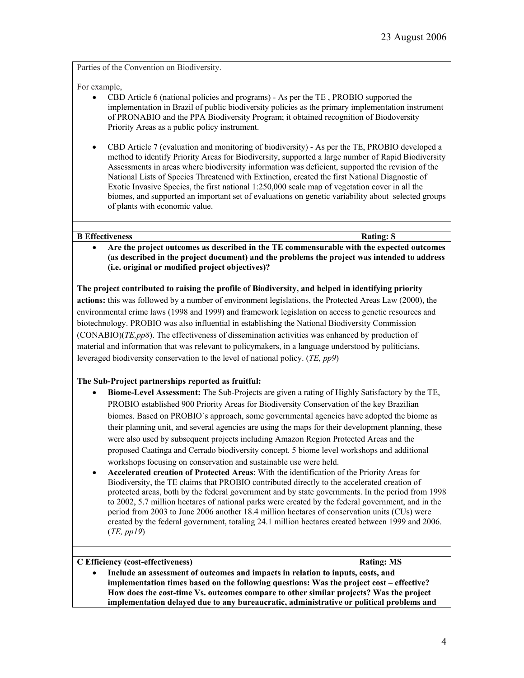Parties of the Convention on Biodiversity.

For example,

- CBD Article 6 (national policies and programs) As per the TE , PROBIO supported the implementation in Brazil of public biodiversity policies as the primary implementation instrument of PRONABIO and the PPA Biodiversity Program; it obtained recognition of Biodoversity Priority Areas as a public policy instrument.
- CBD Article 7 (evaluation and monitoring of biodiversity) As per the TE, PROBIO developed a method to identify Priority Areas for Biodiversity, supported a large number of Rapid Biodiversity Assessments in areas where biodiversity information was deficient, supported the revision of the National Lists of Species Threatened with Extinction, created the first National Diagnostic of Exotic Invasive Species, the first national 1:250,000 scale map of vegetation cover in all the biomes, and supported an important set of evaluations on genetic variability about selected groups of plants with economic value.

#### **B** Effectiveness Rating: S

• **Are the project outcomes as described in the TE commensurable with the expected outcomes (as described in the project document) and the problems the project was intended to address (i.e. original or modified project objectives)?** 

**The project contributed to raising the profile of Biodiversity, and helped in identifying priority actions:** this was followed by a number of environment legislations, the Protected Areas Law (2000), the environmental crime laws (1998 and 1999) and framework legislation on access to genetic resources and biotechnology. PROBIO was also influential in establishing the National Biodiversity Commission (CONABIO)(*TE,pp8*). The effectiveness of dissemination activities was enhanced by production of material and information that was relevant to policymakers, in a language understood by politicians, leveraged biodiversity conservation to the level of national policy. (*TE, pp9*)

## **The Sub-Project partnerships reported as fruitful:**

- **Biome-Level Assessment:** The Sub-Projects are given a rating of Highly Satisfactory by the TE, PROBIO established 900 Priority Areas for Biodiversity Conservation of the key Brazilian biomes. Based on PROBIO`s approach, some governmental agencies have adopted the biome as their planning unit, and several agencies are using the maps for their development planning, these were also used by subsequent projects including Amazon Region Protected Areas and the proposed Caatinga and Cerrado biodiversity concept. 5 biome level workshops and additional workshops focusing on conservation and sustainable use were held.
- **Accelerated creation of Protected Areas**: With the identification of the Priority Areas for Biodiversity, the TE claims that PROBIO contributed directly to the accelerated creation of protected areas, both by the federal government and by state governments. In the period from 1998 to 2002, 5.7 million hectares of national parks were created by the federal government, and in the period from 2003 to June 2006 another 18.4 million hectares of conservation units (CUs) were created by the federal government, totaling 24.1 million hectares created between 1999 and 2006. (*TE, pp19*)

### **C Efficiency (cost-effectiveness) Rating: MS** • **Include an assessment of outcomes and impacts in relation to inputs, costs, and**

**implementation times based on the following questions: Was the project cost – effective? How does the cost-time Vs. outcomes compare to other similar projects? Was the project implementation delayed due to any bureaucratic, administrative or political problems and**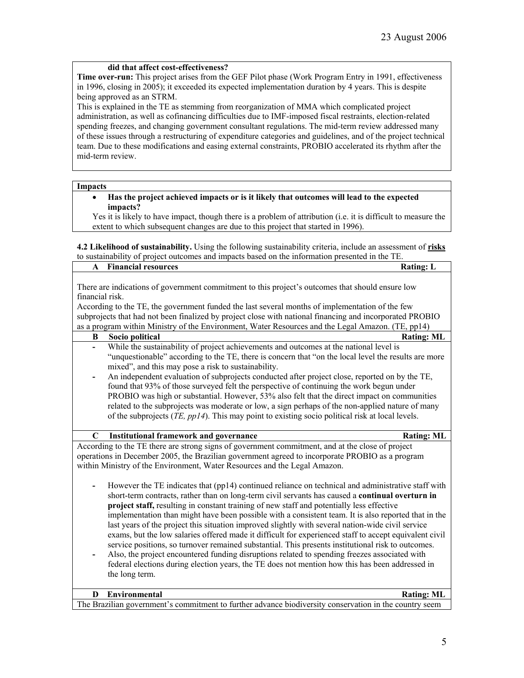## **did that affect cost-effectiveness?**

**Time over-run:** This project arises from the GEF Pilot phase (Work Program Entry in 1991, effectiveness in 1996, closing in 2005); it exceeded its expected implementation duration by 4 years. This is despite being approved as an STRM.

This is explained in the TE as stemming from reorganization of MMA which complicated project administration, as well as cofinancing difficulties due to IMF-imposed fiscal restraints, election-related spending freezes, and changing government consultant regulations. The mid-term review addressed many of these issues through a restructuring of expenditure categories and guidelines, and of the project technical team. Due to these modifications and easing external constraints, PROBIO accelerated its rhythm after the mid-term review.

#### **Impacts**

• **Has the project achieved impacts or is it likely that outcomes will lead to the expected impacts?**

Yes it is likely to have impact, though there is a problem of attribution (i.e. it is difficult to measure the extent to which subsequent changes are due to this project that started in 1996).

**4.2 Likelihood of sustainability.** Using the following sustainability criteria, include an assessment of **risks** to sustainability of project outcomes and impacts based on the information presented in the TE.

| $\mathbf{A}$    | <b>Financial resources</b>                                                                                                                                                                                                                                                                                                                                                                                                                                                                                                                                                                                                                                                                                                                                                                                                                                                                                                                             | <b>Rating: L</b>  |
|-----------------|--------------------------------------------------------------------------------------------------------------------------------------------------------------------------------------------------------------------------------------------------------------------------------------------------------------------------------------------------------------------------------------------------------------------------------------------------------------------------------------------------------------------------------------------------------------------------------------------------------------------------------------------------------------------------------------------------------------------------------------------------------------------------------------------------------------------------------------------------------------------------------------------------------------------------------------------------------|-------------------|
| financial risk. | There are indications of government commitment to this project's outcomes that should ensure low                                                                                                                                                                                                                                                                                                                                                                                                                                                                                                                                                                                                                                                                                                                                                                                                                                                       |                   |
|                 | According to the TE, the government funded the last several months of implementation of the few                                                                                                                                                                                                                                                                                                                                                                                                                                                                                                                                                                                                                                                                                                                                                                                                                                                        |                   |
|                 | subprojects that had not been finalized by project close with national financing and incorporated PROBIO                                                                                                                                                                                                                                                                                                                                                                                                                                                                                                                                                                                                                                                                                                                                                                                                                                               |                   |
|                 | as a program within Ministry of the Environment, Water Resources and the Legal Amazon. (TE, pp14)                                                                                                                                                                                                                                                                                                                                                                                                                                                                                                                                                                                                                                                                                                                                                                                                                                                      |                   |
| B               | Socio political                                                                                                                                                                                                                                                                                                                                                                                                                                                                                                                                                                                                                                                                                                                                                                                                                                                                                                                                        | <b>Rating: ML</b> |
|                 | While the sustainability of project achievements and outcomes at the national level is                                                                                                                                                                                                                                                                                                                                                                                                                                                                                                                                                                                                                                                                                                                                                                                                                                                                 |                   |
|                 | "unquestionable" according to the TE, there is concern that "on the local level the results are more                                                                                                                                                                                                                                                                                                                                                                                                                                                                                                                                                                                                                                                                                                                                                                                                                                                   |                   |
|                 | mixed", and this may pose a risk to sustainability.                                                                                                                                                                                                                                                                                                                                                                                                                                                                                                                                                                                                                                                                                                                                                                                                                                                                                                    |                   |
|                 | An independent evaluation of subprojects conducted after project close, reported on by the TE,                                                                                                                                                                                                                                                                                                                                                                                                                                                                                                                                                                                                                                                                                                                                                                                                                                                         |                   |
|                 | found that 93% of those surveyed felt the perspective of continuing the work begun under                                                                                                                                                                                                                                                                                                                                                                                                                                                                                                                                                                                                                                                                                                                                                                                                                                                               |                   |
|                 | PROBIO was high or substantial. However, 53% also felt that the direct impact on communities                                                                                                                                                                                                                                                                                                                                                                                                                                                                                                                                                                                                                                                                                                                                                                                                                                                           |                   |
|                 | related to the subprojects was moderate or low, a sign perhaps of the non-applied nature of many                                                                                                                                                                                                                                                                                                                                                                                                                                                                                                                                                                                                                                                                                                                                                                                                                                                       |                   |
|                 | of the subprojects ( <i>TE, pp14</i> ). This may point to existing socio political risk at local levels.                                                                                                                                                                                                                                                                                                                                                                                                                                                                                                                                                                                                                                                                                                                                                                                                                                               |                   |
|                 |                                                                                                                                                                                                                                                                                                                                                                                                                                                                                                                                                                                                                                                                                                                                                                                                                                                                                                                                                        |                   |
| $\mathbf C$     | <b>Institutional framework and governance</b>                                                                                                                                                                                                                                                                                                                                                                                                                                                                                                                                                                                                                                                                                                                                                                                                                                                                                                          | <b>Rating: ML</b> |
|                 | According to the TE there are strong signs of government commitment, and at the close of project<br>operations in December 2005, the Brazilian government agreed to incorporate PROBIO as a program<br>within Ministry of the Environment, Water Resources and the Legal Amazon.                                                                                                                                                                                                                                                                                                                                                                                                                                                                                                                                                                                                                                                                       |                   |
|                 | However the TE indicates that (pp14) continued reliance on technical and administrative staff with<br>short-term contracts, rather than on long-term civil servants has caused a continual overturn in<br>project staff, resulting in constant training of new staff and potentially less effective<br>implementation than might have been possible with a consistent team. It is also reported that in the<br>last years of the project this situation improved slightly with several nation-wide civil service<br>exams, but the low salaries offered made it difficult for experienced staff to accept equivalent civil<br>service positions, so turnover remained substantial. This presents institutional risk to outcomes.<br>Also, the project encountered funding disruptions related to spending freezes associated with<br>federal elections during election years, the TE does not mention how this has been addressed in<br>the long term. |                   |
| D               | Environmental                                                                                                                                                                                                                                                                                                                                                                                                                                                                                                                                                                                                                                                                                                                                                                                                                                                                                                                                          | <b>Rating: ML</b> |
|                 | The Brazilian government's commitment to further advance biodiversity conservation in the country seem                                                                                                                                                                                                                                                                                                                                                                                                                                                                                                                                                                                                                                                                                                                                                                                                                                                 |                   |
|                 |                                                                                                                                                                                                                                                                                                                                                                                                                                                                                                                                                                                                                                                                                                                                                                                                                                                                                                                                                        |                   |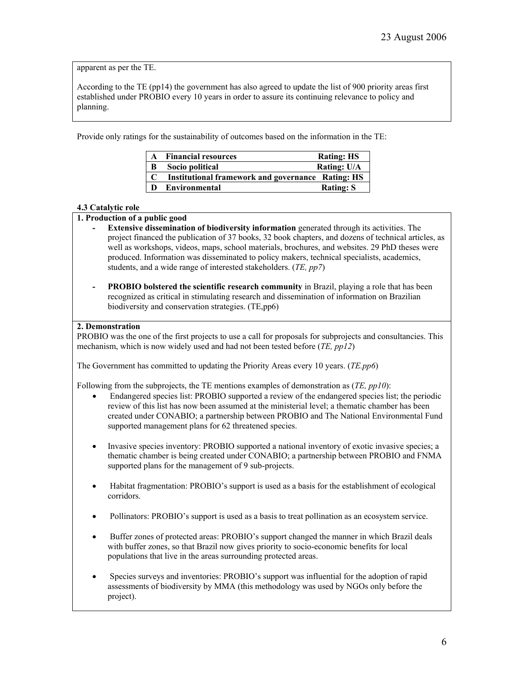apparent as per the TE.

According to the TE (pp14) the government has also agreed to update the list of 900 priority areas first established under PROBIO every 10 years in order to assure its continuing relevance to policy and planning.

Provide only ratings for the sustainability of outcomes based on the information in the TE:

|   | <b>Financial resources</b>                               | <b>Rating: HS</b> |
|---|----------------------------------------------------------|-------------------|
| B | Socio political                                          | Rating: U/A       |
|   | <b>Institutional framework and governance Rating: HS</b> |                   |
|   | <b>Environmental</b>                                     | <b>Rating: S</b>  |

### **4.3 Catalytic role**

## **1. Production of a public good**

- **- Extensive dissemination of biodiversity information** generated through its activities. The project financed the publication of 37 books, 32 book chapters, and dozens of technical articles, as well as workshops, videos, maps, school materials, brochures, and websites. 29 PhD theses were produced. Information was disseminated to policy makers, technical specialists, academics, students, and a wide range of interested stakeholders. (*TE, pp7*)
- **- PROBIO bolstered the scientific research community** in Brazil, playing a role that has been recognized as critical in stimulating research and dissemination of information on Brazilian biodiversity and conservation strategies. (TE,pp6)

### **2. Demonstration**

PROBIO was the one of the first projects to use a call for proposals for subprojects and consultancies. This mechanism, which is now widely used and had not been tested before (*TE, pp12*)

The Government has committed to updating the Priority Areas every 10 years. (*TE.pp6*)

Following from the subprojects, the TE mentions examples of demonstration as (*TE, pp10*):

- Endangered species list: PROBIO supported a review of the endangered species list; the periodic review of this list has now been assumed at the ministerial level; a thematic chamber has been created under CONABIO; a partnership between PROBIO and The National Environmental Fund supported management plans for 62 threatened species.
- Invasive species inventory: PROBIO supported a national inventory of exotic invasive species; a thematic chamber is being created under CONABIO; a partnership between PROBIO and FNMA supported plans for the management of 9 sub-projects.
- Habitat fragmentation: PROBIO's support is used as a basis for the establishment of ecological corridors.
- Pollinators: PROBIO's support is used as a basis to treat pollination as an ecosystem service.
- Buffer zones of protected areas: PROBIO's support changed the manner in which Brazil deals with buffer zones, so that Brazil now gives priority to socio-economic benefits for local populations that live in the areas surrounding protected areas.
- Species surveys and inventories: PROBIO's support was influential for the adoption of rapid assessments of biodiversity by MMA (this methodology was used by NGOs only before the project).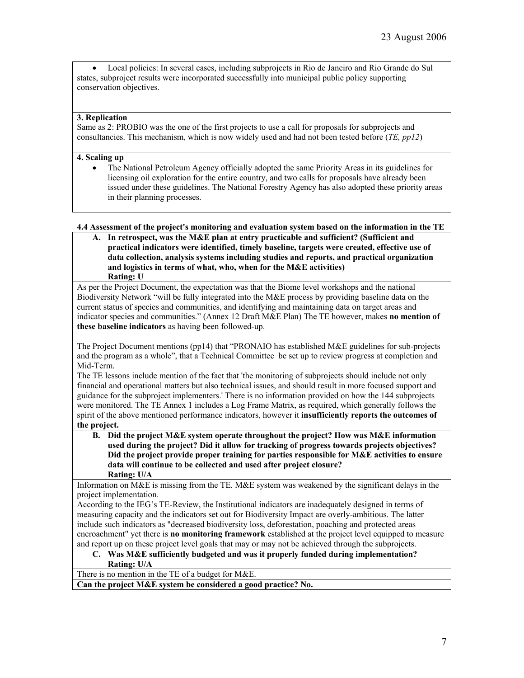• Local policies: In several cases, including subprojects in Rio de Janeiro and Rio Grande do Sul states, subproject results were incorporated successfully into municipal public policy supporting conservation objectives.

### **3. Replication**

Same as 2: PROBIO was the one of the first projects to use a call for proposals for subprojects and consultancies. This mechanism, which is now widely used and had not been tested before (*TE, pp12*)

#### **4. Scaling up**

• The National Petroleum Agency officially adopted the same Priority Areas in its guidelines for licensing oil exploration for the entire country, and two calls for proposals have already been issued under these guidelines. The National Forestry Agency has also adopted these priority areas in their planning processes.

#### **4.4 Assessment of the project's monitoring and evaluation system based on the information in the TE**

**A. In retrospect, was the M&E plan at entry practicable and sufficient? (Sufficient and practical indicators were identified, timely baseline, targets were created, effective use of data collection, analysis systems including studies and reports, and practical organization and logistics in terms of what, who, when for the M&E activities) Rating: U**

As per the Project Document, the expectation was that the Biome level workshops and the national Biodiversity Network "will be fully integrated into the M&E process by providing baseline data on the current status of species and communities, and identifying and maintaining data on target areas and indicator species and communities." (Annex 12 Draft M&E Plan) The TE however, makes **no mention of these baseline indicators** as having been followed-up.

The Project Document mentions (pp14) that "PRONAIO has established M&E guidelines for sub-projects and the program as a whole", that a Technical Committee be set up to review progress at completion and Mid-Term.

The TE lessons include mention of the fact that 'the monitoring of subprojects should include not only financial and operational matters but also technical issues, and should result in more focused support and guidance for the subproject implementers.' There is no information provided on how the 144 subprojects were monitored. The TE Annex 1 includes a Log Frame Matrix, as required, which generally follows the spirit of the above mentioned performance indicators, however it **insufficiently reports the outcomes of the project.**

**B. Did the project M&E system operate throughout the project? How was M&E information used during the project? Did it allow for tracking of progress towards projects objectives? Did the project provide proper training for parties responsible for M&E activities to ensure data will continue to be collected and used after project closure? Rating: U/A**

Information on M&E is missing from the TE. M&E system was weakened by the significant delays in the project implementation.

According to the IEG's TE-Review, the Institutional indicators are inadequately designed in terms of measuring capacity and the indicators set out for Biodiversity Impact are overly-ambitious. The latter include such indicators as "decreased biodiversity loss, deforestation, poaching and protected areas encroachment" yet there is **no monitoring framework** established at the project level equipped to measure and report up on these project level goals that may or may not be achieved through the subprojects.

#### **C. Was M&E sufficiently budgeted and was it properly funded during implementation? Rating: U/A**

There is no mention in the TE of a budget for M&E.

**Can the project M&E system be considered a good practice? No.**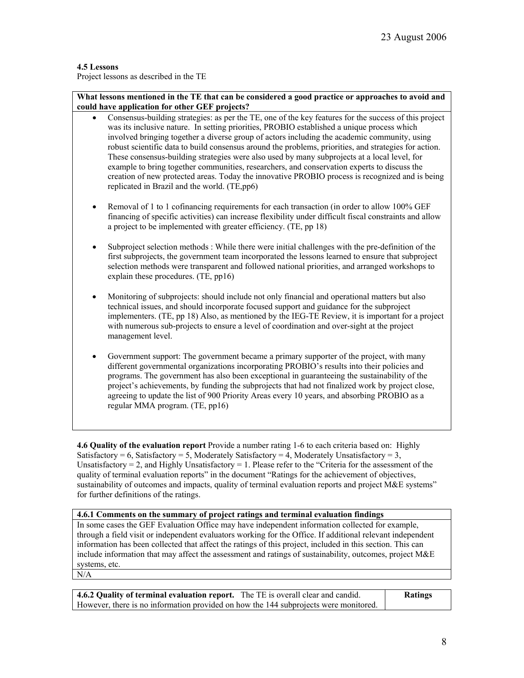### **4.5 Lessons**

Project lessons as described in the TE

**What lessons mentioned in the TE that can be considered a good practice or approaches to avoid and could have application for other GEF projects?**

- Consensus-building strategies: as per the TE, one of the key features for the success of this project was its inclusive nature. In setting priorities, PROBIO established a unique process which involved bringing together a diverse group of actors including the academic community, using robust scientific data to build consensus around the problems, priorities, and strategies for action. These consensus-building strategies were also used by many subprojects at a local level, for example to bring together communities, researchers, and conservation experts to discuss the creation of new protected areas. Today the innovative PROBIO process is recognized and is being replicated in Brazil and the world. (TE,pp6)
- Removal of 1 to 1 cofinancing requirements for each transaction (in order to allow 100% GEF financing of specific activities) can increase flexibility under difficult fiscal constraints and allow a project to be implemented with greater efficiency. (TE, pp 18)
- Subproject selection methods : While there were initial challenges with the pre-definition of the first subprojects, the government team incorporated the lessons learned to ensure that subproject selection methods were transparent and followed national priorities, and arranged workshops to explain these procedures. (TE, pp16)
- Monitoring of subprojects: should include not only financial and operational matters but also technical issues, and should incorporate focused support and guidance for the subproject implementers. (TE, pp 18) Also, as mentioned by the IEG-TE Review, it is important for a project with numerous sub-projects to ensure a level of coordination and over-sight at the project management level.
- Government support: The government became a primary supporter of the project, with many different governmental organizations incorporating PROBIO's results into their policies and programs. The government has also been exceptional in guaranteeing the sustainability of the project's achievements, by funding the subprojects that had not finalized work by project close, agreeing to update the list of 900 Priority Areas every 10 years, and absorbing PROBIO as a regular MMA program. (TE, pp16)

**4.6 Quality of the evaluation report** Provide a number rating 1-6 to each criteria based on: Highly Satisfactory = 6, Satisfactory = 5, Moderately Satisfactory = 4, Moderately Unsatisfactory = 3, Unsatisfactory = 2, and Highly Unsatisfactory = 1. Please refer to the "Criteria for the assessment of the quality of terminal evaluation reports" in the document "Ratings for the achievement of objectives, sustainability of outcomes and impacts, quality of terminal evaluation reports and project M&E systems" for further definitions of the ratings.

#### **4.6.1 Comments on the summary of project ratings and terminal evaluation findings**

In some cases the GEF Evaluation Office may have independent information collected for example, through a field visit or independent evaluators working for the Office. If additional relevant independent information has been collected that affect the ratings of this project, included in this section. This can include information that may affect the assessment and ratings of sustainability, outcomes, project M&E systems, etc.

N/A

| 4.6.2 Quality of terminal evaluation report. The TE is overall clear and candid.     | <b>Ratings</b> |
|--------------------------------------------------------------------------------------|----------------|
| However, there is no information provided on how the 144 subprojects were monitored. |                |